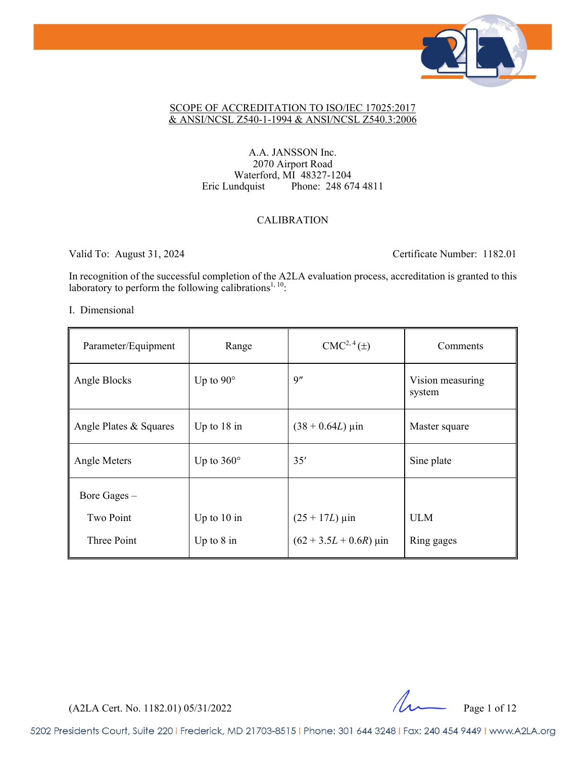

#### SCOPE OF ACCREDITATION TO ISO/IEC 17025:2017 & ANSI/NCSL Z540-1-1994 & ANSI/NCSL Z540.3:2006

## A.A. JANSSON Inc. 2070 Airport Road Waterford, MI 48327-1204 Eric Lundquist Phone: 248 674 4811

## CALIBRATION

Valid To: August 31, 2024 Certificate Number: 1182.01

In recognition of the successful completion of the A2LA evaluation process, accreditation is granted to this laboratory to perform the following calibrations<sup>1, 10</sup>:

### I. Dimensional

| Parameter/Equipment    | Range             | $CMC2, 4(\pm)$                 | Comments                   |
|------------------------|-------------------|--------------------------------|----------------------------|
| Angle Blocks           | Up to $90^\circ$  | 9''                            | Vision measuring<br>system |
| Angle Plates & Squares | Up to $18$ in     | $(38 + 0.64L) \,\mu \text{in}$ | Master square              |
| Angle Meters           | Up to $360^\circ$ | 35'                            | Sine plate                 |
| Bore Gages –           |                   |                                |                            |
| <b>Two Point</b>       | Up to $10$ in     | $(25 + 17L) \,\mu \text{in}$   | <b>ULM</b>                 |
| Three Point            | Up to $8$ in      | $(62 + 3.5L + 0.6R)$ µin       | Ring gages                 |

 $(A2LA$  Cert. No. 1182.01) 05/31/2022 Page 1 of 12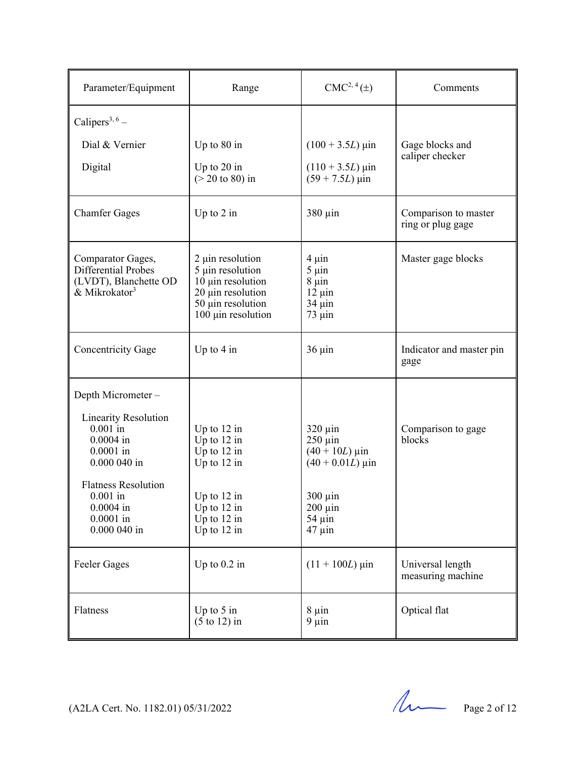| Parameter/Equipment                                                                                                   | Range                                                                                                                     | $CMC2, 4(\pm)$                                                                      | Comments                                  |
|-----------------------------------------------------------------------------------------------------------------------|---------------------------------------------------------------------------------------------------------------------------|-------------------------------------------------------------------------------------|-------------------------------------------|
| Calipers <sup>3, 6</sup> –                                                                                            |                                                                                                                           |                                                                                     |                                           |
| Dial & Vernier                                                                                                        | Up to 80 in                                                                                                               | $(100 + 3.5L) \,\mu\text{in}$                                                       | Gage blocks and                           |
| Digital                                                                                                               | Up to $20$ in<br>$($ > 20 to 80) in                                                                                       | $(110 + 3.5L)$ µin<br>$(59 + 7.5L) \,\mu\text{in}$                                  | caliper checker                           |
| <b>Chamfer Gages</b>                                                                                                  | Up to $2$ in                                                                                                              | $380 \mu$ in                                                                        | Comparison to master<br>ring or plug gage |
| Comparator Gages,<br>Differential Probes<br>(LVDT), Blanchette OD<br>$\alpha$ Mikrokator <sup>3</sup>                 | 2 µin resolution<br>5 µin resolution<br>10 µin resolution<br>20 µin resolution<br>50 µin resolution<br>100 µin resolution | $4 \mu$ in<br>$5 \mu$ in<br>$8 \mu$ in<br>$12 \mu$ in<br>$34 \mu$ in<br>$73 \mu$ in | Master gage blocks                        |
| Concentricity Gage                                                                                                    | Up to $4$ in                                                                                                              | $36 \mu$ in                                                                         | Indicator and master pin<br>gage          |
| Depth Micrometer -                                                                                                    |                                                                                                                           |                                                                                     |                                           |
| <b>Linearity Resolution</b><br>$0.001$ in<br>$0.0004$ in<br>$0.0001$ in<br>0.000 040 in<br><b>Flatness Resolution</b> | Up to $12$ in<br>Up to $12$ in<br>Up to $12$ in<br>Up to $12$ in                                                          | $320 \mu$ in<br>$250 \mu$ in<br>$(40 + 10L)$ µin<br>$(40 + 0.01L) \,\mu \text{in}$  | Comparison to gage<br>blocks              |
| $0.001$ in<br>$0.0004$ in<br>$0.0001$ in<br>0.000 040 in                                                              | Up to 12 in<br>Up to $12$ in<br>Up to $12$ in<br>Up to 12 in                                                              | $300 \mu$ in<br>$200 \mu$ in<br>$54 \mu$ in<br>$47 \mu$ in                          |                                           |
| Feeler Gages                                                                                                          | Up to $0.2$ in                                                                                                            | $(11 + 100L)$ µin                                                                   | Universal length<br>measuring machine     |
| Flatness                                                                                                              | Up to $5$ in<br>$(5 \text{ to } 12)$ in                                                                                   | $8 \mu$ in<br>$9 \mu$ in                                                            | Optical flat                              |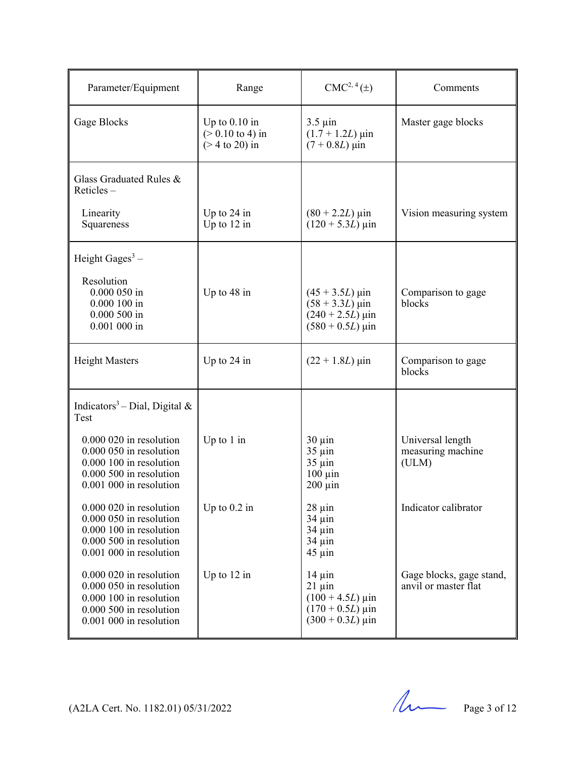| Parameter/Equipment                                                                                                                   | Range                                                                   | CMC <sup>2, 4</sup> (±)                                                                                                          | Comments                                         |
|---------------------------------------------------------------------------------------------------------------------------------------|-------------------------------------------------------------------------|----------------------------------------------------------------------------------------------------------------------------------|--------------------------------------------------|
| Gage Blocks                                                                                                                           | Up to $0.10$ in<br>$(> 0.10 \text{ to } 4) \text{ in}$<br>$($ 20 $)$ in | $3.5 \mu$ in<br>$(1.7 + 1.2L) \,\mu$ in<br>$(7 + 0.8L)$ µin                                                                      | Master gage blocks                               |
| Glass Graduated Rules &<br>Reticles $-$                                                                                               |                                                                         |                                                                                                                                  |                                                  |
| Linearity<br>Squareness                                                                                                               | Up to $24$ in<br>Up to $12$ in                                          | $(80 + 2.2L) \,\mu \text{in}$<br>$(120 + 5.3L) \,\mu \text{in}$                                                                  | Vision measuring system                          |
| Height Gages <sup>3</sup> –<br>Resolution<br>$0.000050$ in<br>$0.000100$ in<br>$0.000500$ in<br>$0.001$ 000 in                        | Up to 48 in                                                             | $(45 + 3.5L)$ µin<br>$(58 + 3.3L) \,\mu\text{in}$<br>$(240 + 2.5L)$ µin<br>$(580 + 0.5L)$ uin                                    | Comparison to gage<br>blocks                     |
| <b>Height Masters</b>                                                                                                                 | Up to $24$ in                                                           | $(22 + 1.8L)$ µin                                                                                                                | Comparison to gage<br>blocks                     |
| Indicators <sup>3</sup> – Dial, Digital &<br>Test                                                                                     |                                                                         |                                                                                                                                  |                                                  |
| $0.000020$ in resolution<br>0.000 050 in resolution<br>0.000 100 in resolution<br>0.000 500 in resolution<br>0.001 000 in resolution  | Up to $1$ in                                                            | $30 \mu$ in<br>$35 \mu$ in<br>$35 \mu$ in<br>$100 \mu$ in<br>$200 \mu$ in                                                        | Universal length<br>measuring machine<br>(ULM)   |
| 0.000 020 in resolution<br>0.000 050 in resolution<br>$0.000$ 100 in resolution<br>0.000 500 in resolution<br>0.001 000 in resolution | Up to $0.2$ in                                                          | $28 \mu$ in<br>34 µin<br>$34 \mu$ in<br>$34 \mu$ in<br>$45 \mu$ in                                                               | Indicator calibrator                             |
| 0.000 020 in resolution<br>0.000 050 in resolution<br>0.000 100 in resolution<br>0.000 500 in resolution<br>$0.001$ 000 in resolution | Up to $12$ in                                                           | $14 \mu$ in<br>$21 \mu$ in<br>$(100 + 4.5L) \,\mu \text{in}$<br>$(170 + 0.5L) \,\mu \text{in}$<br>$(300 + 0.3L) \,\mu \text{in}$ | Gage blocks, gage stand,<br>anvil or master flat |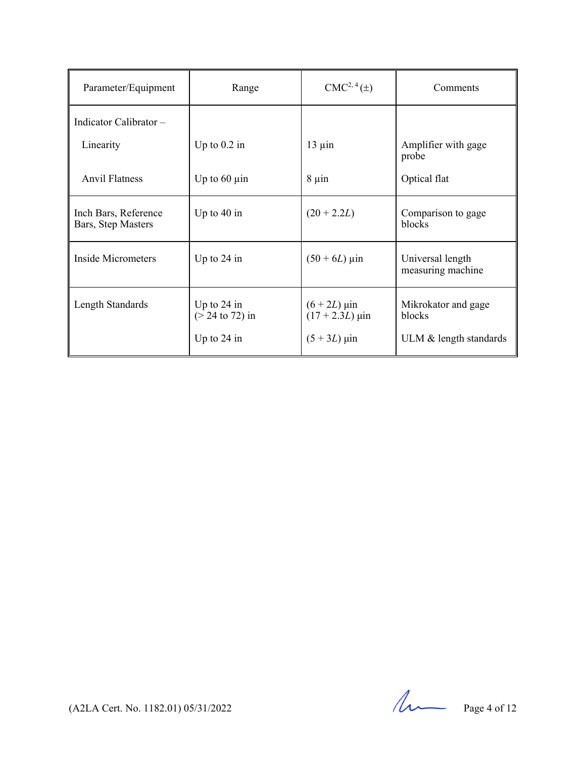| Parameter/Equipment                        | Range                                               | $CMC2, 4(\pm)$                                        | Comments                                                |
|--------------------------------------------|-----------------------------------------------------|-------------------------------------------------------|---------------------------------------------------------|
| Indicator Calibrator-                      |                                                     |                                                       |                                                         |
| Linearity                                  | Up to $0.2$ in                                      | $13 \mu$ in                                           | Amplifier with gage<br>probe                            |
| <b>Anvil Flatness</b>                      | Up to $60 \mu$ in                                   | $8 \mu$ in                                            | Optical flat                                            |
| Inch Bars, Reference<br>Bars, Step Masters | Up to $40$ in                                       | $(20 + 2.2L)$                                         | Comparison to gage<br>blocks                            |
| Inside Micrometers                         | Up to $24$ in                                       | $(50 + 6L)$ µin                                       | Universal length<br>measuring machine                   |
| Length Standards                           | Up to $24$ in<br>$(> 24$ to 72) in<br>Up to $24$ in | $(6 + 2L)$ µin<br>$(17 + 2.3L)$ µin<br>$(5 + 3L)$ µin | Mikrokator and gage<br>blocks<br>ULM & length standards |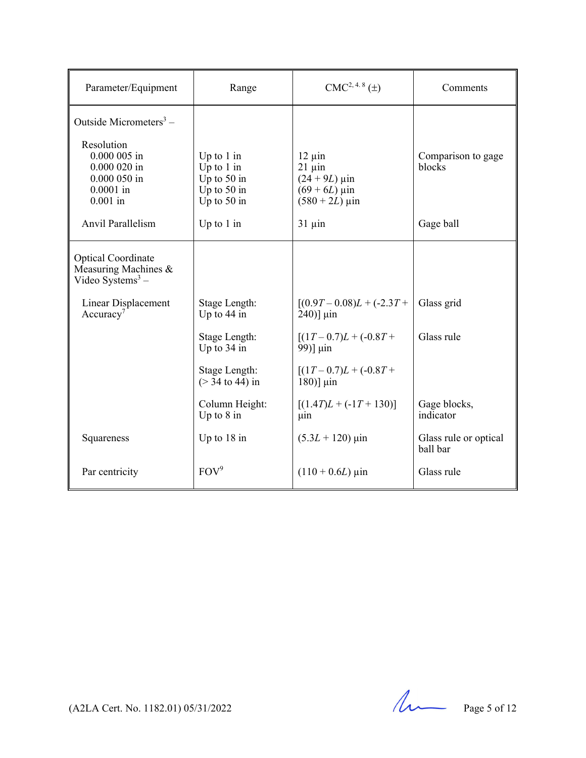| Parameter/Equipment                                                                        | Range                                                                           | $CMC2, 4.8(\pm)$                                                                                 | Comments                          |
|--------------------------------------------------------------------------------------------|---------------------------------------------------------------------------------|--------------------------------------------------------------------------------------------------|-----------------------------------|
| Outside Micrometers <sup>3</sup> –                                                         |                                                                                 |                                                                                                  |                                   |
| Resolution<br>$0.000005$ in<br>$0.000020$ in<br>$0.000050$ in<br>$0.0001$ in<br>$0.001$ in | Up to $1$ in<br>Up to $1$ in<br>Up to $50$ in<br>Up to $50$ in<br>Up to $50$ in | $12 \mu$ in<br>$21 \mu$ in<br>$(24 + 9L)$ µin<br>$(69 + 6L)$ µin<br>$(580 + 2L) \,\mu \text{in}$ | Comparison to gage<br>blocks      |
| Anvil Parallelism                                                                          | Up to $1$ in                                                                    | $31 \mu$ in                                                                                      | Gage ball                         |
| <b>Optical Coordinate</b><br>Measuring Machines &<br>Video Systems $3 -$                   |                                                                                 |                                                                                                  |                                   |
| Linear Displacement<br>Accuracy <sup>7</sup>                                               | Stage Length:<br>Up to $44$ in                                                  | $[(0.9T - 0.08)L + (-2.3T +$<br>$240$ ] $\mu$ in                                                 | Glass grid                        |
|                                                                                            | Stage Length:<br>Up to 34 in                                                    | $[(1T-0.7)L + (-0.8T +$<br>99)] µin                                                              | Glass rule                        |
|                                                                                            | Stage Length:<br>$($ > $34$ to 44) in                                           | $[(1T-0.7)L + (-0.8T +$<br>$180$ ] $\mu$ in                                                      |                                   |
|                                                                                            | Column Height:<br>Up to $8$ in                                                  | $[(1.4T)L + (-1T + 130)]$<br>μin.                                                                | Gage blocks,<br>indicator         |
| Squareness                                                                                 | Up to 18 in                                                                     | $(5.3L + 120)$ µin                                                                               | Glass rule or optical<br>ball bar |
| Par centricity                                                                             | FOV <sup>9</sup>                                                                | $(110 + 0.6L)$ µin                                                                               | Glass rule                        |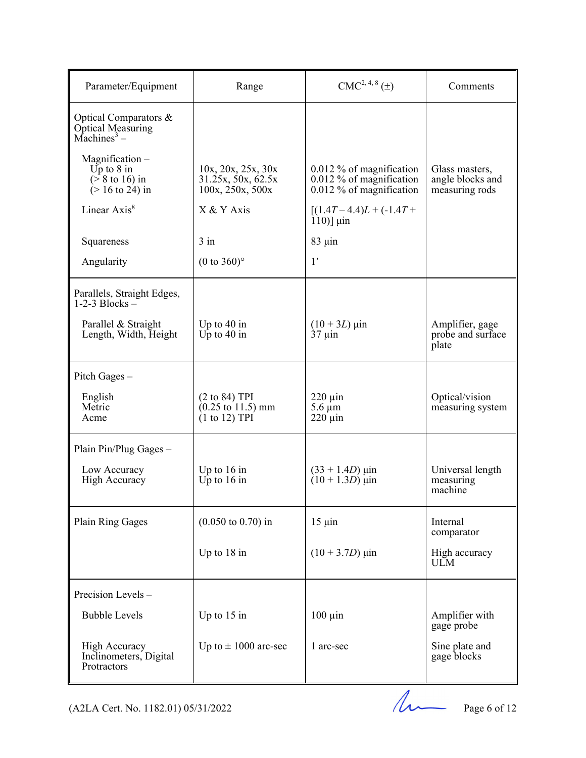| Parameter/Equipment                                                                  | Range                                                                                        | $\text{CMC}^{2,\,4,\,8}\left(\pm\right)$                                               | Comments                                             |
|--------------------------------------------------------------------------------------|----------------------------------------------------------------------------------------------|----------------------------------------------------------------------------------------|------------------------------------------------------|
| Optical Comparators &<br>Optical Measuring<br>Machines <sup>3</sup> –                |                                                                                              |                                                                                        |                                                      |
| $Magnification -$<br>Up to $8$ in<br>$($ > 8 to 16) in<br>$(> 16 \text{ to } 24)$ in | 10x, 20x, 25x, 30x<br>31.25x, 50x, 62.5x<br>100x, 250x, 500x                                 | $0.012\%$ of magnification<br>$0.012\%$ of magnification<br>$0.012\%$ of magnification | Glass masters,<br>angle blocks and<br>measuring rods |
| Linear Axis <sup>8</sup>                                                             | X & Y Axis                                                                                   | $[(1.4T-4.4)L+(-1.4T+$<br>$110$ ] $\mu$ in                                             |                                                      |
| Squareness                                                                           | $3$ in                                                                                       | $83 \mu$ in                                                                            |                                                      |
| Angularity                                                                           | $(0 \text{ to } 360)$ °                                                                      | 1'                                                                                     |                                                      |
| Parallels, Straight Edges,<br>$1-2-3$ Blocks $-$                                     |                                                                                              |                                                                                        |                                                      |
| Parallel & Straight<br>Length, Width, Height                                         | Up to $40$ in<br>Up to $40$ in                                                               | $(10 + 3L)$ µin<br>$37 \mu$ in                                                         | Amplifier, gage<br>probe and surface<br>plate        |
| Pitch Gages $-$                                                                      |                                                                                              |                                                                                        |                                                      |
| English<br>Metric<br>Acme                                                            | $(2 \text{ to } 84)$ TPI<br>$(0.25 \text{ to } 11.5) \text{ mm}$<br>$(1 \text{ to } 12)$ TPI | $220 \mu$ in<br>$5.6 \mu m$<br>$220 \mu$ in                                            | Optical/vision<br>measuring system                   |
| Plain Pin/Plug Gages -                                                               |                                                                                              |                                                                                        |                                                      |
| Low Accuracy<br><b>High Accuracy</b>                                                 | Up to $16$ in<br>Up to $16$ in                                                               | $(33 + 1.4D)$ µin<br>$(10 + 1.3D)$ uin                                                 | Universal length<br>measuring<br>machine             |
| Plain Ring Gages                                                                     | $(0.050 \text{ to } 0.70)$ in                                                                | $15 \mu$ in                                                                            | Internal<br>comparator                               |
|                                                                                      | Up to 18 in                                                                                  | $(10 + 3.7D)$ µin                                                                      | High accuracy<br><b>ULM</b>                          |
| Precision Levels-                                                                    |                                                                                              |                                                                                        |                                                      |
| <b>Bubble Levels</b>                                                                 | Up to $15$ in                                                                                | $100 \mu$ in                                                                           | Amplifier with<br>gage probe                         |
| <b>High Accuracy</b><br>Inclinometers, Digital<br>Protractors                        | Up to $\pm$ 1000 arc-sec                                                                     | 1 arc-sec                                                                              | Sine plate and<br>gage blocks                        |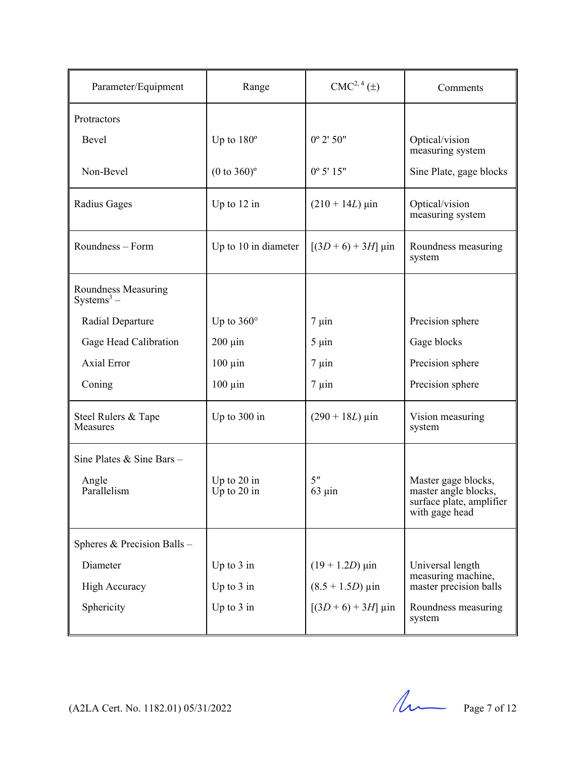| Parameter/Equipment                 | Range                          | CMC <sup>2, 4</sup> (±)        | Comments                                                                                  |
|-------------------------------------|--------------------------------|--------------------------------|-------------------------------------------------------------------------------------------|
| Protractors                         |                                |                                |                                                                                           |
| Bevel                               | Up to $180^\circ$              | $0^{\circ}$ 2' 50"             | Optical/vision<br>measuring system                                                        |
| Non-Bevel                           | $(0 to 360)$ <sup>o</sup>      | $0^{\circ} 5' 15''$            | Sine Plate, gage blocks                                                                   |
| Radius Gages                        | Up to $12$ in                  | $(210 + 14L)$ µin              | Optical/vision<br>measuring system                                                        |
| Roundness - Form                    | Up to 10 in diameter           | $[(3D+6)+3H]$ µin              | Roundness measuring<br>system                                                             |
| Roundness Measuring<br>$Systems3 -$ |                                |                                |                                                                                           |
| Radial Departure                    | Up to $360^\circ$              | $7 \mu$ in                     | Precision sphere                                                                          |
| Gage Head Calibration               | $200 \mu$ in                   | $5 \mu$ in                     | Gage blocks                                                                               |
| <b>Axial Error</b>                  | $100 \mu$ in                   | $7 \mu$ in                     | Precision sphere                                                                          |
| Coning                              | $100 \mu$ in                   | $7 \mu$ in                     | Precision sphere                                                                          |
| Steel Rulers & Tape<br>Measures     | Up to 300 in                   | $(290 + 18L) \,\mu \text{in}$  | Vision measuring<br>system                                                                |
| Sine Plates & Sine Bars -           |                                |                                |                                                                                           |
| Angle<br>Parallelism                | Up to $20$ in<br>Up to $20$ in | 5 <sup>''</sup><br>$63 \mu$ in | Master gage blocks,<br>master angle blocks,<br>surface plate, amplifier<br>with gage head |
| Spheres & Precision Balls -         |                                |                                |                                                                                           |
| Diameter                            | Up to $3$ in                   | $(19 + 1.2D)$ µin              | Universal length                                                                          |
| <b>High Accuracy</b>                | Up to $3$ in                   | $(8.5 + 1.5D) \,\mu\text{in}$  | measuring machine,<br>master precision balls                                              |
| Sphericity                          | Up to $3$ in                   | $[(3D+6)+3H] \mu$ in           | Roundness measuring<br>system                                                             |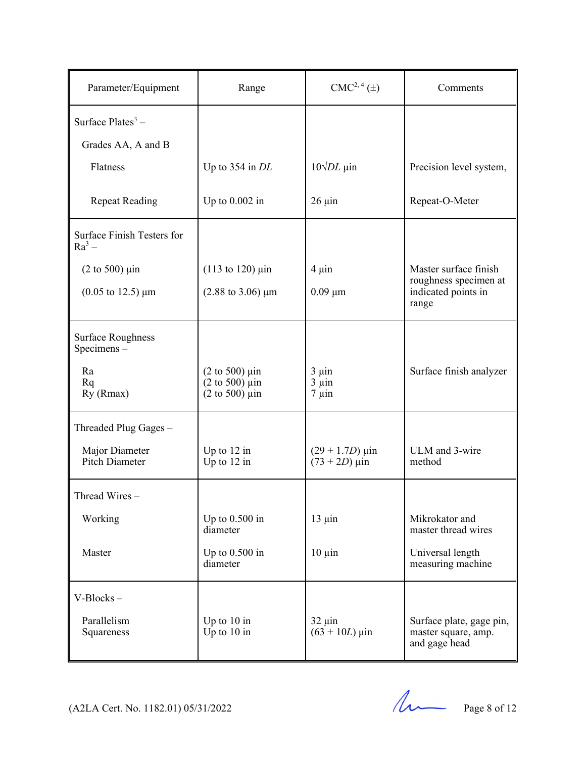| Parameter/Equipment                           | Range                                                                                                                                        | CMC <sup>2, 4</sup> (±)                | Comments                                                         |
|-----------------------------------------------|----------------------------------------------------------------------------------------------------------------------------------------------|----------------------------------------|------------------------------------------------------------------|
| Surface $Plates^3$ –                          |                                                                                                                                              |                                        |                                                                  |
| Grades AA, A and B                            |                                                                                                                                              |                                        |                                                                  |
| Flatness                                      | Up to $354$ in DL                                                                                                                            | $10\sqrt{DL}$ µin                      | Precision level system,                                          |
| <b>Repeat Reading</b>                         | Up to $0.002$ in                                                                                                                             | $26 \mu$ in                            | Repeat-O-Meter                                                   |
| Surface Finish Testers for<br>$Ra^3$ –        |                                                                                                                                              |                                        |                                                                  |
| $(2 \text{ to } 500) \text{ } \mu \text{in}$  | $(113 \text{ to } 120) \text{ } \mu \text{in}$                                                                                               | $4 \mu$ in                             | Master surface finish                                            |
| $(0.05 \text{ to } 12.5) \text{ }\mu\text{m}$ | $(2.88 \text{ to } 3.06) \mu m$                                                                                                              | $0.09 \mu m$                           | roughness specimen at<br>indicated points in<br>range            |
| <b>Surface Roughness</b><br>Specimens-        |                                                                                                                                              |                                        |                                                                  |
| Ra<br>Rq<br>Ry (Rmax)                         | $(2 \text{ to } 500) \text{ } \mu \text{in}$<br>$(2 \text{ to } 500) \text{ } \mu \text{in}$<br>$(2 \text{ to } 500) \text{ } \mu \text{in}$ | $3 \mu$ in<br>$3 \mu$ in<br>$7 \mu$ in | Surface finish analyzer                                          |
| Threaded Plug Gages -                         |                                                                                                                                              |                                        |                                                                  |
| Major Diameter<br>Pitch Diameter              | Up to $12$ in<br>Up to $12$ in                                                                                                               | $(29 + 1.7D)$ µin<br>$(73 + 2D)$ µin   | ULM and 3-wire<br>method                                         |
| Thread Wires $-$                              |                                                                                                                                              |                                        |                                                                  |
| Working                                       | Up to $0.500$ in<br>diameter                                                                                                                 | $13 \mu$ in                            | Mikrokator and<br>master thread wires                            |
| Master                                        | Up to $0.500$ in<br>diameter                                                                                                                 | $10 \mu$ in                            | Universal length<br>measuring machine                            |
| V-Blocks-                                     |                                                                                                                                              |                                        |                                                                  |
| Parallelism<br>Squareness                     | Up to $10$ in<br>Up to $10$ in                                                                                                               | $32 \mu$ in<br>$(63 + 10L)$ µin        | Surface plate, gage pin,<br>master square, amp.<br>and gage head |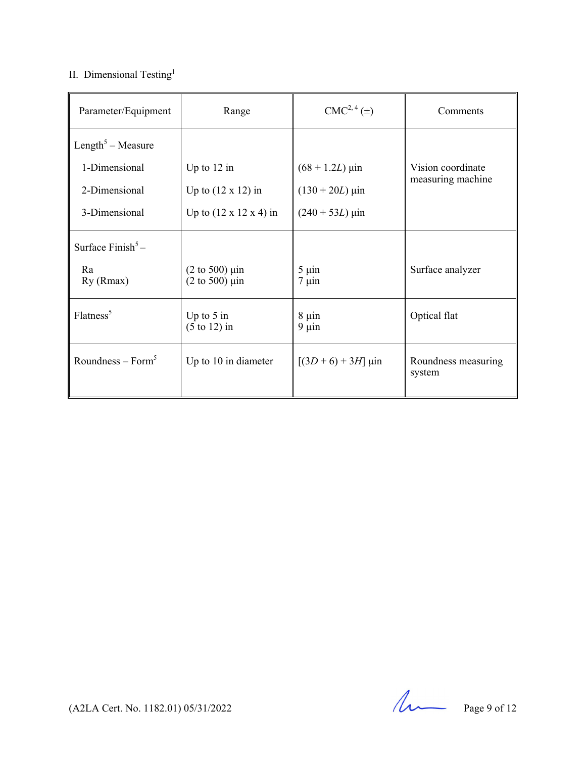## II. Dimensional Testing<sup>1</sup>

| Parameter/Equipment           | Range                                                                                        | CMC <sup>2, 4</sup> (±)  | Comments                      |
|-------------------------------|----------------------------------------------------------------------------------------------|--------------------------|-------------------------------|
| Length <sup>5</sup> – Measure |                                                                                              |                          |                               |
| 1-Dimensional                 | Up to $12$ in                                                                                | $(68 + 1.2L)$ µin        | Vision coordinate             |
| 2-Dimensional                 | Up to $(12 \times 12)$ in                                                                    | $(130 + 20L)$ µin        | measuring machine             |
| 3-Dimensional                 | Up to $(12 \times 12 \times 4)$ in                                                           | $(240 + 53L) \,\mu$ in   |                               |
| Surface $\text{Finish}^5$ –   |                                                                                              |                          |                               |
| Ra<br>Ry (Rmax)               | $(2 \text{ to } 500) \text{ } \mu \text{in}$<br>$(2 \text{ to } 500) \text{ } \mu \text{in}$ | $5 \mu$ in<br>$7 \mu$ in | Surface analyzer              |
| Flatness <sup>5</sup>         | Up to $5$ in<br>$(5 \text{ to } 12)$ in                                                      | $8 \mu$ in<br>$9 \mu$ in | Optical flat                  |
| Roundness – $Form5$           | Up to 10 in diameter                                                                         | $[(3D+6)+3H]$ µin        | Roundness measuring<br>system |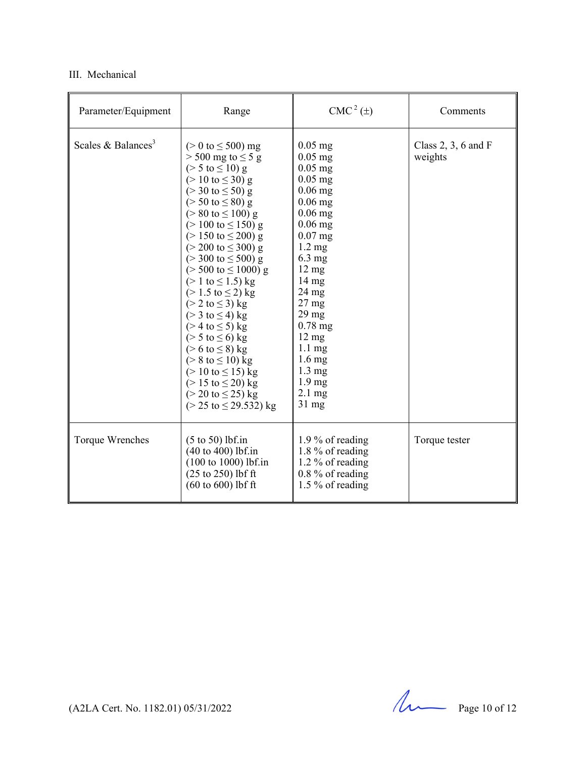## III. Mechanical

| Parameter/Equipment            | Range                                                                                                                                                                                                                                                                                                                                                                                                                                                                                                                                                                                                                                                                                                                                                                                                                                                                                                                        | $CMC2(\pm)$                                                                                                                                                                                                                                                                                                                                                                                                      | Comments                         |
|--------------------------------|------------------------------------------------------------------------------------------------------------------------------------------------------------------------------------------------------------------------------------------------------------------------------------------------------------------------------------------------------------------------------------------------------------------------------------------------------------------------------------------------------------------------------------------------------------------------------------------------------------------------------------------------------------------------------------------------------------------------------------------------------------------------------------------------------------------------------------------------------------------------------------------------------------------------------|------------------------------------------------------------------------------------------------------------------------------------------------------------------------------------------------------------------------------------------------------------------------------------------------------------------------------------------------------------------------------------------------------------------|----------------------------------|
| Scales & Balances <sup>3</sup> | ( $> 0$ to $\leq 500$ ) mg<br>$>$ 500 mg to $\leq$ 5 g<br>$(> 5 \text{ to } \leq 10) \text{ g}$<br>$(> 10 \text{ to } \leq 30) \text{ g}$<br>$(>30 \text{ to } \leq 50) \text{ g}$<br>$($ > 50 to $\leq$ 80) g<br>$(> 80 \text{ to } \leq 100) \text{ g}$<br>$(>100 \text{ to } \leq 150) \text{ g}$<br>$(>150 \text{ to } \leq 200) \text{ g}$<br>$(> 200 \text{ to } \leq 300) \text{ g}$<br>$(>300 \text{ to } \leq 500) \text{ g}$<br>$(> 500 \text{ to } \leq 1000) \text{ g}$<br>$(> 1 \text{ to } \leq 1.5) \text{ kg}$<br>$(> 1.5 \text{ to } \leq 2) \text{ kg}$<br>( $> 2$ to $\leq$ 3) kg<br>( $>$ 3 to $\leq$ 4) kg<br>( $>$ 4 to $\leq$ 5) kg<br>( $> 5$ to $\leq 6$ ) kg<br>( $> 6$ to $\leq 8$ ) kg<br>$(> 8 \text{ to } \le 10) \text{ kg}$<br>$(> 10 \text{ to } \le 15) \text{ kg}$<br>$(> 15 \text{ to } \leq 20) \text{ kg}$<br>$(> 20 \text{ to } \leq 25) \text{ kg}$<br>( $> 25$ to $\leq$ 29.532) kg | $0.05$ mg<br>$0.05$ mg<br>$0.05$ mg<br>$0.05$ mg<br>$0.06$ mg<br>$0.06$ mg<br>$0.06$ mg<br>$0.06$ mg<br>$0.07$ mg<br>$1.2 \text{ mg}$<br>$6.3 \text{ mg}$<br>$12 \text{ mg}$<br>$14 \text{ mg}$<br>$24 \text{ mg}$<br>$27 \text{ mg}$<br>$29 \text{ mg}$<br>$0.78$ mg<br>$12 \text{ mg}$<br>$1.1 \text{ mg}$<br>$1.6 \text{ mg}$<br>$1.3 \text{ mg}$<br>1.9 <sub>mg</sub><br>$2.1 \text{ mg}$<br>$31 \text{ mg}$ | Class $2, 3, 6$ and F<br>weights |
| Torque Wrenches                | $(5 \text{ to } 50)$ lbf.in<br>(40 to 400) lbf.in<br>$(100 to 1000)$ lbf.in<br>$(25$ to $250)$ lbf ft<br>$(60 \text{ to } 600)$ lbf ft                                                                                                                                                                                                                                                                                                                                                                                                                                                                                                                                                                                                                                                                                                                                                                                       | 1.9 % of reading<br>1.8 % of reading<br>1.2 % of reading<br>$0.8\%$ of reading<br>1.5 % of reading                                                                                                                                                                                                                                                                                                               | Torque tester                    |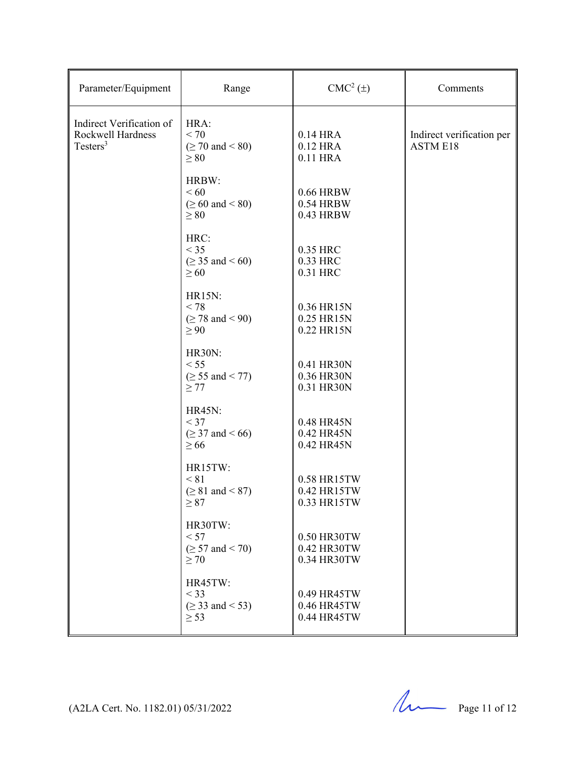| Parameter/Equipment                                                   | Range                                                                | $CMC2(\pm)$                               | Comments                                     |
|-----------------------------------------------------------------------|----------------------------------------------------------------------|-------------------------------------------|----------------------------------------------|
| Indirect Verification of<br>Rockwell Hardness<br>Testers <sup>3</sup> | HRA:<br>< 70<br>$( \geq 70 \text{ and } < 80)$<br>$\geq 80$          | 0.14 HRA<br>0.12 HRA<br>0.11 HRA          | Indirect verification per<br><b>ASTM E18</b> |
|                                                                       | HRBW:<br>< 60<br>$( \ge 60 \text{ and } < 80)$<br>$\geq 80$          | 0.66 HRBW<br>0.54 HRBW<br>0.43 HRBW       |                                              |
|                                                                       | HRC:<br>$<$ 35<br>$( \ge 35 \text{ and } 560)$<br>$\geq 60$          | 0.35 HRC<br>0.33 HRC<br>0.31 HRC          |                                              |
|                                                                       | <b>HR15N:</b><br>< 78<br>$( \geq 78 \text{ and } < 90)$<br>$\geq 90$ | 0.36 HR15N<br>0.25 HR15N<br>0.22 HR15N    |                                              |
|                                                                       | <b>HR30N:</b><br>< 55<br>$( \ge 55 \text{ and } 100$<br>$\geq$ 77    | 0.41 HR30N<br>0.36 HR30N<br>0.31 HR30N    |                                              |
|                                                                       | <b>HR45N:</b><br>$<$ 37<br>$(≥ 37$ and < 66)<br>$\geq 66$            | 0.48 HR45N<br>0.42 HR45N<br>0.42 HR45N    |                                              |
|                                                                       | HR15TW:<br>< 81<br>$( \geq 81$ and < 87)<br>$\geq 87$                | 0.58 HR15TW<br>0.42 HR15TW<br>0.33 HR15TW |                                              |
|                                                                       | HR30TW:<br>< 57<br>$( \geq 57 \text{ and } < 70)$<br>$\geq 70$       | 0.50 HR30TW<br>0.42 HR30TW<br>0.34 HR30TW |                                              |
|                                                                       | HR45TW:<br>$<$ 33<br>$( \ge 33 \text{ and } < 53)$<br>$\geq$ 53      | 0.49 HR45TW<br>0.46 HR45TW<br>0.44 HR45TW |                                              |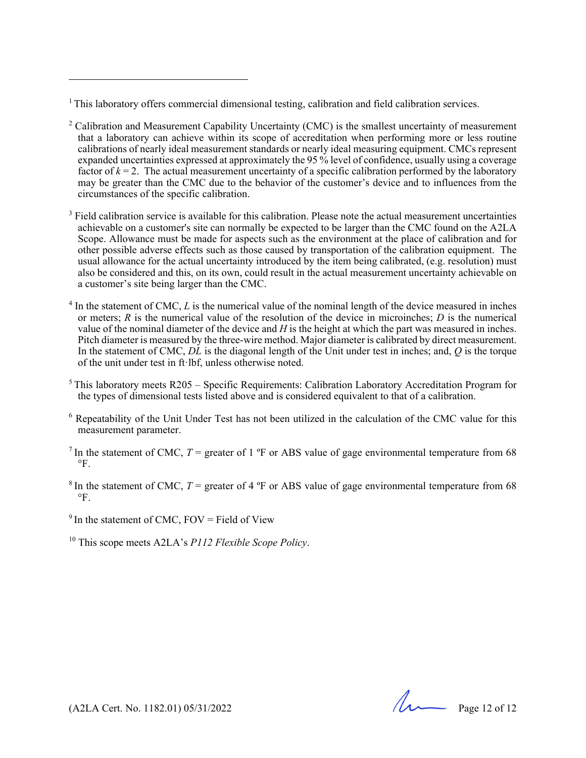$1$ This laboratory offers commercial dimensional testing, calibration and field calibration services.

- $2^2$  Calibration and Measurement Capability Uncertainty (CMC) is the smallest uncertainty of measurement that a laboratory can achieve within its scope of accreditation when performing more or less routine calibrations of nearly ideal measurement standards or nearly ideal measuring equipment. CMCs represent expanded uncertainties expressed at approximately the 95 % level of confidence, usually using a coverage factor of  $k = 2$ . The actual measurement uncertainty of a specific calibration performed by the laboratory may be greater than the CMC due to the behavior of the customer's device and to influences from the circumstances of the specific calibration.
- $3$  Field calibration service is available for this calibration. Please note the actual measurement uncertainties achievable on a customer's site can normally be expected to be larger than the CMC found on the A2LA Scope. Allowance must be made for aspects such as the environment at the place of calibration and for other possible adverse effects such as those caused by transportation of the calibration equipment. The usual allowance for the actual uncertainty introduced by the item being calibrated, (e.g. resolution) must also be considered and this, on its own, could result in the actual measurement uncertainty achievable on a customer's site being larger than the CMC.
- $4 \text{ In the statement of CMC, } L \text{ is the numerical value of the nominal length of the device measured in inches}$ or meters;  $R$  is the numerical value of the resolution of the device in microinches;  $D$  is the numerical value of the nominal diameter of the device and *H* is the height at which the part was measured in inches. Pitch diameter is measured by the three-wire method. Major diameter is calibrated by direct measurement. In the statement of CMC, *DL* is the diagonal length of the Unit under test in inches; and, *Q* is the torque of the unit under test in ft lbf, unless otherwise noted.
- $<sup>5</sup>$ This laboratory meets R205 Specific Requirements: Calibration Laboratory Accreditation Program for</sup> the types of dimensional tests listed above and is considered equivalent to that of a calibration.
- <sup>6</sup> Repeatability of the Unit Under Test has not been utilized in the calculation of the CMC value for this measurement parameter.
- <sup>7</sup> In the statement of CMC,  $T =$  greater of 1 °F or ABS value of gage environmental temperature from 68  $\mathrm{P}_{\mathrm{F}_{\mathrm{L}}}$
- <sup>8</sup> In the statement of CMC,  $T =$  greater of 4 °F or ABS value of gage environmental temperature from 68  $\circ$ F
- $9<sup>9</sup>$  In the statement of CMC, FOV = Field of View
- 10 This scope meets A2LA's *P112 Flexible Scope Policy*.

 $(A2LA$  Cert. No. 1182.01) 05/31/2022 Page 12 of 12